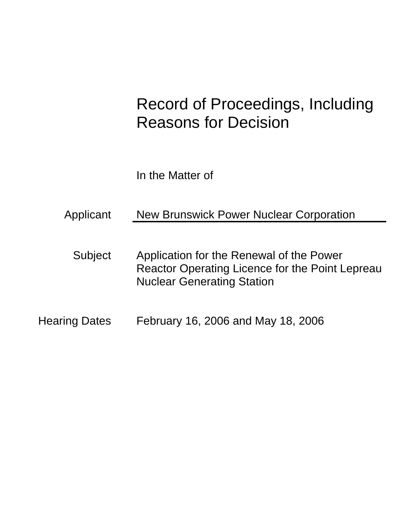# Record of Proceedings, Including Reasons for Decision

In the Matter of

Applicant New Brunswick Power Nuclear Corporation

- Subject Application for the Renewal of the Power Reactor Operating Licence for the Point Lepreau Nuclear Generating Station
- Hearing Dates February 16, 2006 and May 18, 2006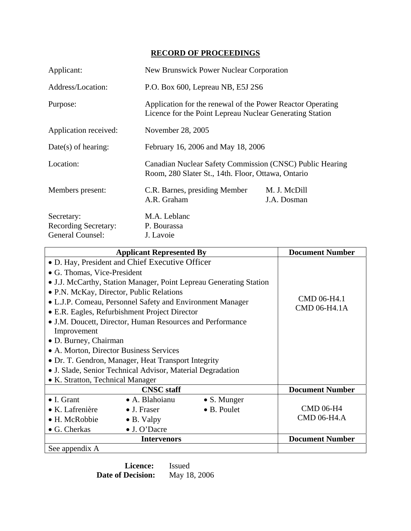# **RECORD OF PROCEEDINGS**

| Applicant:                                                    | <b>New Brunswick Power Nuclear Corporation</b>                                                                         |                             |  |
|---------------------------------------------------------------|------------------------------------------------------------------------------------------------------------------------|-----------------------------|--|
| Address/Location:                                             | P.O. Box 600, Lepreau NB, E5J 2S6                                                                                      |                             |  |
| Purpose:                                                      | Application for the renewal of the Power Reactor Operating<br>Licence for the Point Lepreau Nuclear Generating Station |                             |  |
| Application received:                                         | November 28, 2005                                                                                                      |                             |  |
| $Date(s)$ of hearing:                                         | February 16, 2006 and May 18, 2006                                                                                     |                             |  |
| Location:                                                     | Canadian Nuclear Safety Commission (CNSC) Public Hearing<br>Room, 280 Slater St., 14th. Floor, Ottawa, Ontario         |                             |  |
| Members present:                                              | C.R. Barnes, presiding Member<br>A.R. Graham                                                                           | M. J. McDill<br>J.A. Dosman |  |
| Secretary:<br><b>Recording Secretary:</b><br>General Counsel: | M.A. Leblanc<br>P. Bourassa<br>J. Lavoie                                                                               |                             |  |

| <b>Applicant Represented By</b>                                    |                                                            | <b>Document Number</b> |                        |
|--------------------------------------------------------------------|------------------------------------------------------------|------------------------|------------------------|
| • D. Hay, President and Chief Executive Officer                    |                                                            |                        |                        |
| • G. Thomas, Vice-President                                        |                                                            |                        |                        |
| • J.J. McCarthy, Station Manager, Point Lepreau Generating Station |                                                            |                        |                        |
| • P.N. McKay, Director, Public Relations                           |                                                            |                        |                        |
|                                                                    | • L.J.P. Comeau, Personnel Safety and Environment Manager  |                        | CMD 06-H4.1            |
| • E.R. Eagles, Refurbishment Project Director                      |                                                            |                        | CMD 06-H4.1A           |
| • J.M. Doucett, Director, Human Resources and Performance          |                                                            |                        |                        |
| Improvement                                                        |                                                            |                        |                        |
| • D. Burney, Chairman                                              |                                                            |                        |                        |
|                                                                    | • A. Morton, Director Business Services                    |                        |                        |
|                                                                    | • Dr. T. Gendron, Manager, Heat Transport Integrity        |                        |                        |
|                                                                    | • J. Slade, Senior Technical Advisor, Material Degradation |                        |                        |
| • K. Stratton, Technical Manager                                   |                                                            |                        |                        |
|                                                                    | <b>CNSC</b> staff                                          |                        | <b>Document Number</b> |
| $\bullet$ I. Grant                                                 | · A. Blahoianu                                             | $\bullet$ S. Munger    |                        |
| $\bullet$ K. Lafrenière                                            | $\bullet$ J. Fraser                                        | • B. Poulet            | <b>CMD 06-H4</b>       |
| • H. McRobbie                                                      | $\bullet$ B. Valpy                                         |                        | CMD 06-H4.A            |
| • G. Cherkas                                                       | • J. O'Dacre                                               |                        |                        |
|                                                                    | <b>Intervenors</b>                                         |                        | <b>Document Number</b> |
| See appendix A                                                     |                                                            |                        |                        |

**Licence:** Issued<br>**Decision:** May 18, 2006 **Date of Decision:**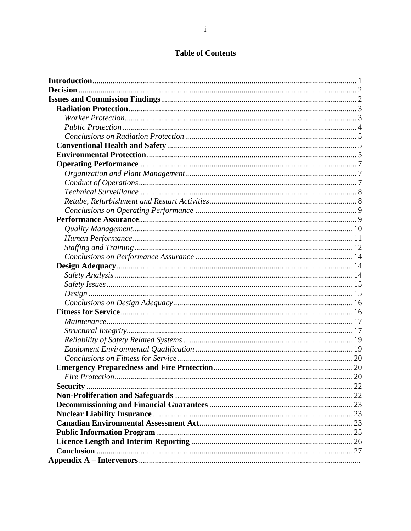# **Table of Contents**

| <b>Decision</b> |  |
|-----------------|--|
|                 |  |
|                 |  |
|                 |  |
|                 |  |
|                 |  |
|                 |  |
|                 |  |
|                 |  |
|                 |  |
|                 |  |
|                 |  |
|                 |  |
|                 |  |
|                 |  |
|                 |  |
|                 |  |
|                 |  |
|                 |  |
|                 |  |
|                 |  |
|                 |  |
|                 |  |
|                 |  |
|                 |  |
|                 |  |
|                 |  |
|                 |  |
|                 |  |
|                 |  |
|                 |  |
|                 |  |
|                 |  |
|                 |  |
|                 |  |
|                 |  |
|                 |  |
|                 |  |
|                 |  |
|                 |  |
|                 |  |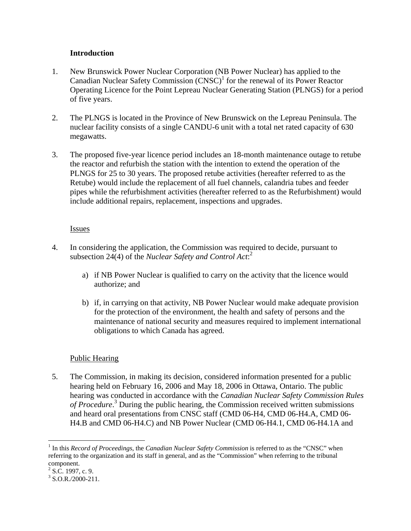# **Introduction**

- 1. New Brunswick Power Nuclear Corporation (NB Power Nuclear) has applied to the Canadian Nuclear Safety Commission  $(CNSC)^1$  for the renewal of its Power Reactor Operating Licence for the Point Lepreau Nuclear Generating Station (PLNGS) for a period of five years.
- 2. The PLNGS is located in the Province of New Brunswick on the Lepreau Peninsula. The nuclear facility consists of a single CANDU-6 unit with a total net rated capacity of 630 megawatts.
- 3. The proposed five-year licence period includes an 18-month maintenance outage to retube the reactor and refurbish the station with the intention to extend the operation of the PLNGS for 25 to 30 years. The proposed retube activities (hereafter referred to as the Retube) would include the replacement of all fuel channels, calandria tubes and feeder pipes while the refurbishment activities (hereafter referred to as the Refurbishment) would include additional repairs, replacement, inspections and upgrades.

# Issues

- 4. In considering the application, the Commission was required to decide, pursuant to subsection 24(4) of the *Nuclear Safety and Control Act*: 2
	- a) if NB Power Nuclear is qualified to carry on the activity that the licence would authorize; and
	- b) if, in carrying on that activity, NB Power Nuclear would make adequate provision for the protection of the environment, the health and safety of persons and the maintenance of national security and measures required to implement international obligations to which Canada has agreed.

# Public Hearing

5. The Commission, in making its decision, considered information presented for a public hearing held on February 16, 2006 and May 18, 2006 in Ottawa, Ontario. The public hearing was conducted in accordance with the *Canadian Nuclear Safety Commission Rules*  of Procedure.<sup>3</sup> During the public hearing, the Commission received written submissions and heard oral presentations from CNSC staff (CMD 06-H4, CMD 06-H4.A, CMD 06- H4.B and CMD 06-H4.C) and NB Power Nuclear (CMD 06-H4.1, CMD 06-H4.1A and

 $\overline{a}$ 

<sup>&</sup>lt;sup>1</sup> In this *Record of Proceedings*, the *Canadian Nuclear Safety Commission* is referred to as the "CNSC" when referring to the organization and its staff in general, and as the "Commission" when referring to the tribunal component.

 $2$  S.C. 1997, c. 9.

 $3$  S.O.R./2000-211.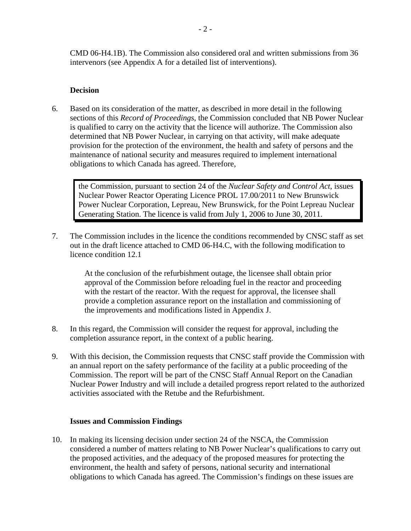CMD 06-H4.1B). The Commission also considered oral and written submissions from 36 intervenors (see Appendix A for a detailed list of interventions).

# **Decision**

6. Based on its consideration of the matter, as described in more detail in the following sections of this *Record of Proceedings*, the Commission concluded that NB Power Nuclear is qualified to carry on the activity that the licence will authorize. The Commission also determined that NB Power Nuclear, in carrying on that activity, will make adequate provision for the protection of the environment, the health and safety of persons and the maintenance of national security and measures required to implement international obligations to which Canada has agreed. Therefore,

the Commission, pursuant to section 24 of the *Nuclear Safety and Control Act*, issues Nuclear Power Reactor Operating Licence PROL 17.00/2011 to New Brunswick Power Nuclear Corporation, Lepreau, New Brunswick, for the Point Lepreau Nuclear Generating Station. The licence is valid from July 1, 2006 to June 30, 2011.

7. The Commission includes in the licence the conditions recommended by CNSC staff as set out in the draft licence attached to CMD 06-H4.C, with the following modification to licence condition 12.1

> At the conclusion of the refurbishment outage, the licensee shall obtain prior approval of the Commission before reloading fuel in the reactor and proceeding with the restart of the reactor. With the request for approval, the licensee shall provide a completion assurance report on the installation and commissioning of the improvements and modifications listed in Appendix J.

- 8. In this regard, the Commission will consider the request for approval, including the completion assurance report, in the context of a public hearing.
- 9. With this decision, the Commission requests that CNSC staff provide the Commission with an annual report on the safety performance of the facility at a public proceeding of the Commission. The report will be part of the CNSC Staff Annual Report on the Canadian Nuclear Power Industry and will include a detailed progress report related to the authorized activities associated with the Retube and the Refurbishment.

#### **Issues and Commission Findings**

10. In making its licensing decision under section 24 of the NSCA, the Commission considered a number of matters relating to NB Power Nuclear's qualifications to carry out the proposed activities, and the adequacy of the proposed measures for protecting the environment, the health and safety of persons, national security and international obligations to which Canada has agreed. The Commission's findings on these issues are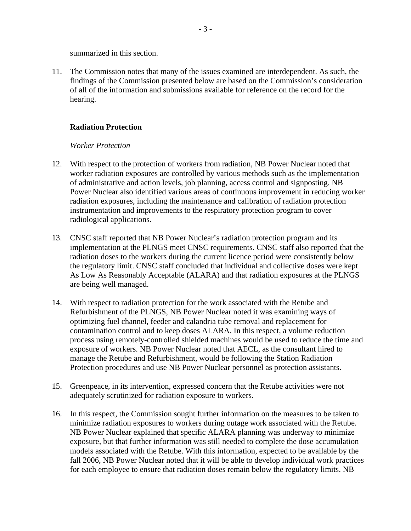summarized in this section.

11. The Commission notes that many of the issues examined are interdependent. As such, the findings of the Commission presented below are based on the Commission's consideration of all of the information and submissions available for reference on the record for the hearing.

# **Radiation Protection**

#### *Worker Protection*

- 12. With respect to the protection of workers from radiation, NB Power Nuclear noted that worker radiation exposures are controlled by various methods such as the implementation of administrative and action levels, job planning, access control and signposting. NB Power Nuclear also identified various areas of continuous improvement in reducing worker radiation exposures, including the maintenance and calibration of radiation protection instrumentation and improvements to the respiratory protection program to cover radiological applications.
- 13. CNSC staff reported that NB Power Nuclear's radiation protection program and its implementation at the PLNGS meet CNSC requirements. CNSC staff also reported that the radiation doses to the workers during the current licence period were consistently below the regulatory limit. CNSC staff concluded that individual and collective doses were kept As Low As Reasonably Acceptable (ALARA) and that radiation exposures at the PLNGS are being well managed.
- 14. With respect to radiation protection for the work associated with the Retube and Refurbishment of the PLNGS, NB Power Nuclear noted it was examining ways of optimizing fuel channel, feeder and calandria tube removal and replacement for contamination control and to keep doses ALARA. In this respect, a volume reduction process using remotely-controlled shielded machines would be used to reduce the time and exposure of workers. NB Power Nuclear noted that AECL, as the consultant hired to manage the Retube and Refurbishment, would be following the Station Radiation Protection procedures and use NB Power Nuclear personnel as protection assistants.
- 15. Greenpeace, in its intervention, expressed concern that the Retube activities were not adequately scrutinized for radiation exposure to workers.
- 16. In this respect, the Commission sought further information on the measures to be taken to minimize radiation exposures to workers during outage work associated with the Retube. NB Power Nuclear explained that specific ALARA planning was underway to minimize exposure, but that further information was still needed to complete the dose accumulation models associated with the Retube. With this information, expected to be available by the fall 2006, NB Power Nuclear noted that it will be able to develop individual work practices for each employee to ensure that radiation doses remain below the regulatory limits. NB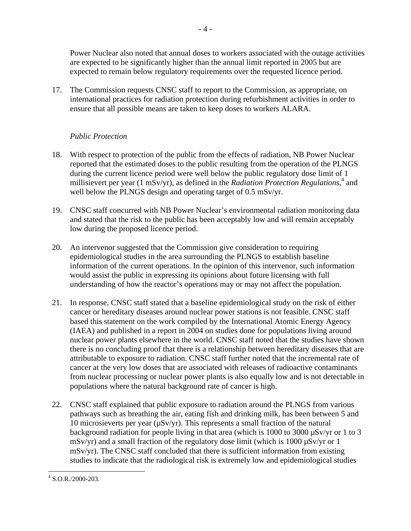Power Nuclear also noted that annual doses to workers associated with the outage activities are expected to be significantly higher than the annual limit reported in 2005 but are expected to remain below regulatory requirements over the requested licence period.

17. The Commission requests CNSC staff to report to the Commission, as appropriate, on international practices for radiation protection during refurbishment activities in order to ensure that all possible means are taken to keep doses to workers ALARA.

# *Public Protection*

- 18. With respect to protection of the public from the effects of radiation, NB Power Nuclear reported that the estimated doses to the public resulting from the operation of the PLNGS during the current licence period were well below the public regulatory dose limit of 1 millisievert per year (1 mSv/yr), as defined in the *Radiation Protection Regulations*,<sup>4</sup> and well below the PLNGS design and operating target of 0.5 mSv/yr.
- 19. CNSC staff concurred with NB Power Nuclear's environmental radiation monitoring data and stated that the risk to the public has been acceptably low and will remain acceptably low during the proposed licence period.
- 20. An intervenor suggested that the Commission give consideration to requiring epidemiological studies in the area surrounding the PLNGS to establish baseline information of the current operations. In the opinion of this intervenor, such information would assist the public in expressing its opinions about future licensing with full understanding of how the reactor's operations may or may not affect the population.
- 21. In response, CNSC staff stated that a baseline epidemiological study on the risk of either cancer or hereditary diseases around nuclear power stations is not feasible. CNSC staff based this statement on the work compiled by the International Atomic Energy Agency (IAEA) and published in a report in 2004 on studies done for populations living around nuclear power plants elsewhere in the world. CNSC staff noted that the studies have shown there is no concluding proof that there is a relationship between hereditary diseases that are attributable to exposure to radiation. CNSC staff further noted that the incremental rate of cancer at the very low doses that are associated with releases of radioactive contaminants from nuclear processing or nuclear power plants is also equally low and is not detectable in populations where the natural background rate of cancer is high.
- 22. CNSC staff explained that public exposure to radiation around the PLNGS from various pathways such as breathing the air, eating fish and drinking milk, has been between 5 and 10 microsieverts per year (µSv/yr). This represents a small fraction of the natural background radiation for people living in that area (which is 1000 to 3000 µSv/yr or 1 to 3  $mSv/yr$ ) and a small fraction of the regulatory dose limit (which is 1000  $\mu Sv/yr$  or 1 mSv/yr). The CNSC staff concluded that there is sufficient information from existing studies to indicate that the radiological risk is extremely low and epidemiological studies

 4 S.O.R./2000-203.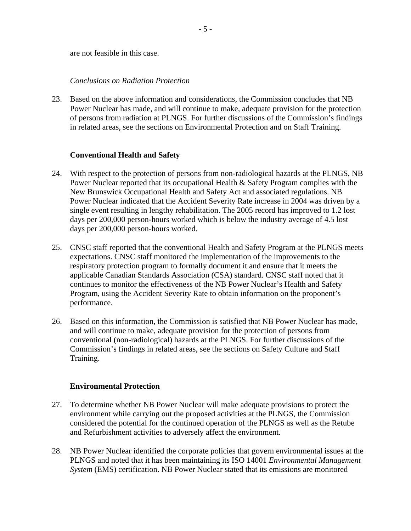are not feasible in this case.

### *Conclusions on Radiation Protection*

23. Based on the above information and considerations, the Commission concludes that NB Power Nuclear has made, and will continue to make, adequate provision for the protection of persons from radiation at PLNGS. For further discussions of the Commission's findings in related areas, see the sections on Environmental Protection and on Staff Training.

# **Conventional Health and Safety**

- 24. With respect to the protection of persons from non-radiological hazards at the PLNGS, NB Power Nuclear reported that its occupational Health & Safety Program complies with the New Brunswick Occupational Health and Safety Act and associated regulations. NB Power Nuclear indicated that the Accident Severity Rate increase in 2004 was driven by a single event resulting in lengthy rehabilitation. The 2005 record has improved to 1.2 lost days per 200,000 person-hours worked which is below the industry average of 4.5 lost days per 200,000 person-hours worked.
- 25. CNSC staff reported that the conventional Health and Safety Program at the PLNGS meets expectations. CNSC staff monitored the implementation of the improvements to the respiratory protection program to formally document it and ensure that it meets the applicable Canadian Standards Association (CSA) standard. CNSC staff noted that it continues to monitor the effectiveness of the NB Power Nuclear's Health and Safety Program, using the Accident Severity Rate to obtain information on the proponent's performance.
- 26. Based on this information, the Commission is satisfied that NB Power Nuclear has made, and will continue to make, adequate provision for the protection of persons from conventional (non-radiological) hazards at the PLNGS. For further discussions of the Commission's findings in related areas, see the sections on Safety Culture and Staff Training.

#### **Environmental Protection**

- 27. To determine whether NB Power Nuclear will make adequate provisions to protect the environment while carrying out the proposed activities at the PLNGS, the Commission considered the potential for the continued operation of the PLNGS as well as the Retube and Refurbishment activities to adversely affect the environment.
- 28. NB Power Nuclear identified the corporate policies that govern environmental issues at the PLNGS and noted that it has been maintaining its ISO 14001 *Environmental Management System* (EMS) certification. NB Power Nuclear stated that its emissions are monitored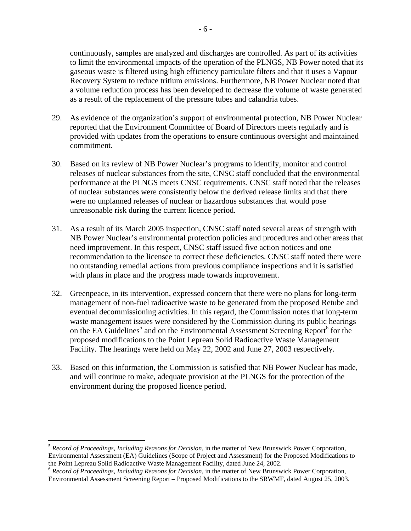continuously, samples are analyzed and discharges are controlled. As part of its activities to limit the environmental impacts of the operation of the PLNGS, NB Power noted that its gaseous waste is filtered using high efficiency particulate filters and that it uses a Vapour Recovery System to reduce tritium emissions. Furthermore, NB Power Nuclear noted that a volume reduction process has been developed to decrease the volume of waste generated as a result of the replacement of the pressure tubes and calandria tubes.

- 29. As evidence of the organization's support of environmental protection, NB Power Nuclear reported that the Environment Committee of Board of Directors meets regularly and is provided with updates from the operations to ensure continuous oversight and maintained commitment.
- 30. Based on its review of NB Power Nuclear's programs to identify, monitor and control releases of nuclear substances from the site, CNSC staff concluded that the environmental performance at the PLNGS meets CNSC requirements. CNSC staff noted that the releases of nuclear substances were consistently below the derived release limits and that there were no unplanned releases of nuclear or hazardous substances that would pose unreasonable risk during the current licence period.
- 31. As a result of its March 2005 inspection, CNSC staff noted several areas of strength with NB Power Nuclear's environmental protection policies and procedures and other areas that need improvement. In this respect, CNSC staff issued five action notices and one recommendation to the licensee to correct these deficiencies. CNSC staff noted there were no outstanding remedial actions from previous compliance inspections and it is satisfied with plans in place and the progress made towards improvement.
- 32. Greenpeace, in its intervention, expressed concern that there were no plans for long-term management of non-fuel radioactive waste to be generated from the proposed Retube and eventual decommissioning activities. In this regard, the Commission notes that long-term waste management issues were considered by the Commission during its public hearings on the EA Guidelines<sup>5</sup> and on the Environmental Assessment Screening Report<sup>6</sup> for the proposed modifications to the Point Lepreau Solid Radioactive Waste Management Facility. The hearings were held on May 22, 2002 and June 27, 2003 respectively.
- 33. Based on this information, the Commission is satisfied that NB Power Nuclear has made, and will continue to make, adequate provision at the PLNGS for the protection of the environment during the proposed licence period.

 $\overline{a}$ 

<sup>5</sup> *Record of Proceedings, Including Reasons for Decision*, in the matter of New Brunswick Power Corporation, Environmental Assessment (EA) Guidelines (Scope of Project and Assessment) for the Proposed Modifications to the Point Lepreau Solid Radioactive Waste Management Facility, dated June 24, 2002.

<sup>6</sup> *Record of Proceedings, Including Reasons for Decision*, in the matter of New Brunswick Power Corporation, Environmental Assessment Screening Report – Proposed Modifications to the SRWMF, dated August 25, 2003.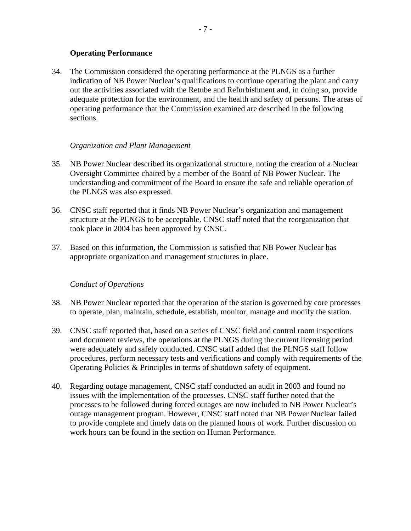# **Operating Performance**

34. The Commission considered the operating performance at the PLNGS as a further indication of NB Power Nuclear's qualifications to continue operating the plant and carry out the activities associated with the Retube and Refurbishment and, in doing so, provide adequate protection for the environment, and the health and safety of persons. The areas of operating performance that the Commission examined are described in the following sections.

#### *Organization and Plant Management*

- 35. NB Power Nuclear described its organizational structure, noting the creation of a Nuclear Oversight Committee chaired by a member of the Board of NB Power Nuclear. The understanding and commitment of the Board to ensure the safe and reliable operation of the PLNGS was also expressed.
- 36. CNSC staff reported that it finds NB Power Nuclear's organization and management structure at the PLNGS to be acceptable. CNSC staff noted that the reorganization that took place in 2004 has been approved by CNSC.
- 37. Based on this information, the Commission is satisfied that NB Power Nuclear has appropriate organization and management structures in place.

#### *Conduct of Operations*

- 38. NB Power Nuclear reported that the operation of the station is governed by core processes to operate, plan, maintain, schedule, establish, monitor, manage and modify the station.
- 39. CNSC staff reported that, based on a series of CNSC field and control room inspections and document reviews, the operations at the PLNGS during the current licensing period were adequately and safely conducted. CNSC staff added that the PLNGS staff follow procedures, perform necessary tests and verifications and comply with requirements of the Operating Policies & Principles in terms of shutdown safety of equipment.
- 40. Regarding outage management, CNSC staff conducted an audit in 2003 and found no issues with the implementation of the processes. CNSC staff further noted that the processes to be followed during forced outages are now included to NB Power Nuclear's outage management program. However, CNSC staff noted that NB Power Nuclear failed to provide complete and timely data on the planned hours of work. Further discussion on work hours can be found in the section on Human Performance.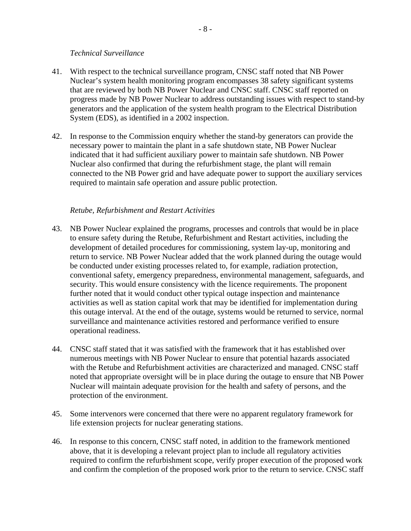#### *Technical Surveillance*

- 41. With respect to the technical surveillance program, CNSC staff noted that NB Power Nuclear's system health monitoring program encompasses 38 safety significant systems that are reviewed by both NB Power Nuclear and CNSC staff. CNSC staff reported on progress made by NB Power Nuclear to address outstanding issues with respect to stand-by generators and the application of the system health program to the Electrical Distribution System (EDS), as identified in a 2002 inspection.
- 42. In response to the Commission enquiry whether the stand-by generators can provide the necessary power to maintain the plant in a safe shutdown state, NB Power Nuclear indicated that it had sufficient auxiliary power to maintain safe shutdown. NB Power Nuclear also confirmed that during the refurbishment stage, the plant will remain connected to the NB Power grid and have adequate power to support the auxiliary services required to maintain safe operation and assure public protection.

# *Retube, Refurbishment and Restart Activities*

- 43. NB Power Nuclear explained the programs, processes and controls that would be in place to ensure safety during the Retube, Refurbishment and Restart activities, including the development of detailed procedures for commissioning, system lay-up, monitoring and return to service. NB Power Nuclear added that the work planned during the outage would be conducted under existing processes related to, for example, radiation protection, conventional safety, emergency preparedness, environmental management, safeguards, and security. This would ensure consistency with the licence requirements. The proponent further noted that it would conduct other typical outage inspection and maintenance activities as well as station capital work that may be identified for implementation during this outage interval. At the end of the outage, systems would be returned to service, normal surveillance and maintenance activities restored and performance verified to ensure operational readiness.
- 44. CNSC staff stated that it was satisfied with the framework that it has established over numerous meetings with NB Power Nuclear to ensure that potential hazards associated with the Retube and Refurbishment activities are characterized and managed. CNSC staff noted that appropriate oversight will be in place during the outage to ensure that NB Power Nuclear will maintain adequate provision for the health and safety of persons, and the protection of the environment.
- 45. Some intervenors were concerned that there were no apparent regulatory framework for life extension projects for nuclear generating stations.
- 46. In response to this concern, CNSC staff noted, in addition to the framework mentioned above, that it is developing a relevant project plan to include all regulatory activities required to confirm the refurbishment scope, verify proper execution of the proposed work and confirm the completion of the proposed work prior to the return to service. CNSC staff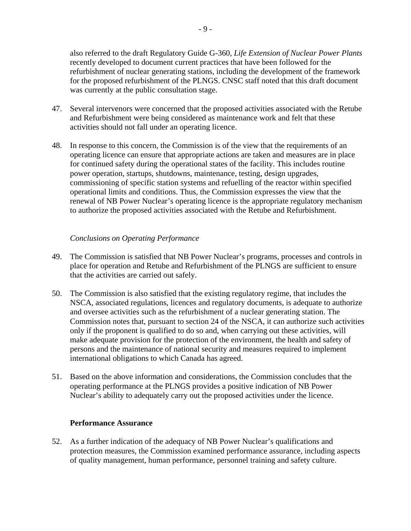also referred to the draft Regulatory Guide G-360, *Life Extension of Nuclear Power Plants* recently developed to document current practices that have been followed for the refurbishment of nuclear generating stations, including the development of the framework for the proposed refurbishment of the PLNGS. CNSC staff noted that this draft document was currently at the public consultation stage.

- 47. Several intervenors were concerned that the proposed activities associated with the Retube and Refurbishment were being considered as maintenance work and felt that these activities should not fall under an operating licence.
- 48. In response to this concern, the Commission is of the view that the requirements of an operating licence can ensure that appropriate actions are taken and measures are in place for continued safety during the operational states of the facility. This includes routine power operation, startups, shutdowns, maintenance, testing, design upgrades, commissioning of specific station systems and refuelling of the reactor within specified operational limits and conditions. Thus, the Commission expresses the view that the renewal of NB Power Nuclear's operating licence is the appropriate regulatory mechanism to authorize the proposed activities associated with the Retube and Refurbishment.

# *Conclusions on Operating Performance*

- 49. The Commission is satisfied that NB Power Nuclear's programs, processes and controls in place for operation and Retube and Refurbishment of the PLNGS are sufficient to ensure that the activities are carried out safely.
- 50. The Commission is also satisfied that the existing regulatory regime, that includes the NSCA, associated regulations, licences and regulatory documents, is adequate to authorize and oversee activities such as the refurbishment of a nuclear generating station. The Commission notes that, pursuant to section 24 of the NSCA, it can authorize such activities only if the proponent is qualified to do so and, when carrying out these activities, will make adequate provision for the protection of the environment, the health and safety of persons and the maintenance of national security and measures required to implement international obligations to which Canada has agreed.
- 51. Based on the above information and considerations, the Commission concludes that the operating performance at the PLNGS provides a positive indication of NB Power Nuclear's ability to adequately carry out the proposed activities under the licence.

#### **Performance Assurance**

52. As a further indication of the adequacy of NB Power Nuclear's qualifications and protection measures, the Commission examined performance assurance, including aspects of quality management, human performance, personnel training and safety culture.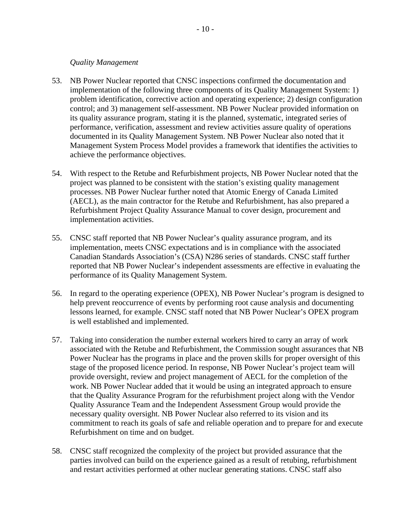#### *Quality Management*

- 53. NB Power Nuclear reported that CNSC inspections confirmed the documentation and implementation of the following three components of its Quality Management System: 1) problem identification, corrective action and operating experience; 2) design configuration control; and 3) management self-assessment. NB Power Nuclear provided information on its quality assurance program, stating it is the planned, systematic, integrated series of performance, verification, assessment and review activities assure quality of operations documented in its Quality Management System. NB Power Nuclear also noted that it Management System Process Model provides a framework that identifies the activities to achieve the performance objectives.
- 54. With respect to the Retube and Refurbishment projects, NB Power Nuclear noted that the project was planned to be consistent with the station's existing quality management processes. NB Power Nuclear further noted that Atomic Energy of Canada Limited (AECL), as the main contractor for the Retube and Refurbishment, has also prepared a Refurbishment Project Quality Assurance Manual to cover design, procurement and implementation activities.
- 55. CNSC staff reported that NB Power Nuclear's quality assurance program, and its implementation, meets CNSC expectations and is in compliance with the associated Canadian Standards Association's (CSA) N286 series of standards. CNSC staff further reported that NB Power Nuclear's independent assessments are effective in evaluating the performance of its Quality Management System.
- 56. In regard to the operating experience (OPEX), NB Power Nuclear's program is designed to help prevent reoccurrence of events by performing root cause analysis and documenting lessons learned, for example. CNSC staff noted that NB Power Nuclear's OPEX program is well established and implemented.
- 57. Taking into consideration the number external workers hired to carry an array of work associated with the Retube and Refurbishment, the Commission sought assurances that NB Power Nuclear has the programs in place and the proven skills for proper oversight of this stage of the proposed licence period. In response, NB Power Nuclear's project team will provide oversight, review and project management of AECL for the completion of the work. NB Power Nuclear added that it would be using an integrated approach to ensure that the Quality Assurance Program for the refurbishment project along with the Vendor Quality Assurance Team and the Independent Assessment Group would provide the necessary quality oversight. NB Power Nuclear also referred to its vision and its commitment to reach its goals of safe and reliable operation and to prepare for and execute Refurbishment on time and on budget.
- 58. CNSC staff recognized the complexity of the project but provided assurance that the parties involved can build on the experience gained as a result of retubing, refurbishment and restart activities performed at other nuclear generating stations. CNSC staff also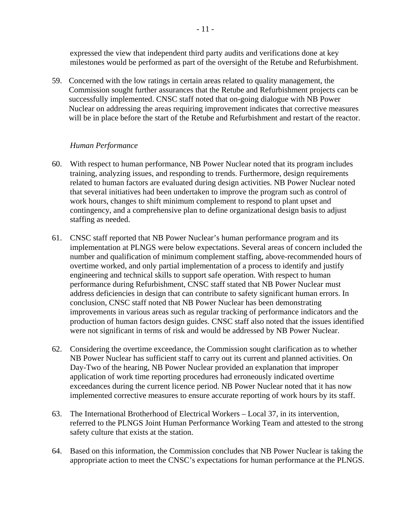expressed the view that independent third party audits and verifications done at key milestones would be performed as part of the oversight of the Retube and Refurbishment.

59. Concerned with the low ratings in certain areas related to quality management, the Commission sought further assurances that the Retube and Refurbishment projects can be successfully implemented. CNSC staff noted that on-going dialogue with NB Power Nuclear on addressing the areas requiring improvement indicates that corrective measures will be in place before the start of the Retube and Refurbishment and restart of the reactor.

#### *Human Performance*

- 60. With respect to human performance, NB Power Nuclear noted that its program includes training, analyzing issues, and responding to trends. Furthermore, design requirements related to human factors are evaluated during design activities. NB Power Nuclear noted that several initiatives had been undertaken to improve the program such as control of work hours, changes to shift minimum complement to respond to plant upset and contingency, and a comprehensive plan to define organizational design basis to adjust staffing as needed.
- 61. CNSC staff reported that NB Power Nuclear's human performance program and its implementation at PLNGS were below expectations. Several areas of concern included the number and qualification of minimum complement staffing, above-recommended hours of overtime worked, and only partial implementation of a process to identify and justify engineering and technical skills to support safe operation. With respect to human performance during Refurbishment, CNSC staff stated that NB Power Nuclear must address deficiencies in design that can contribute to safety significant human errors. In conclusion, CNSC staff noted that NB Power Nuclear has been demonstrating improvements in various areas such as regular tracking of performance indicators and the production of human factors design guides. CNSC staff also noted that the issues identified were not significant in terms of risk and would be addressed by NB Power Nuclear.
- 62. Considering the overtime exceedance, the Commission sought clarification as to whether NB Power Nuclear has sufficient staff to carry out its current and planned activities. On Day-Two of the hearing, NB Power Nuclear provided an explanation that improper application of work time reporting procedures had erroneously indicated overtime exceedances during the current licence period. NB Power Nuclear noted that it has now implemented corrective measures to ensure accurate reporting of work hours by its staff.
- 63. The International Brotherhood of Electrical Workers Local 37, in its intervention, referred to the PLNGS Joint Human Performance Working Team and attested to the strong safety culture that exists at the station.
- 64. Based on this information, the Commission concludes that NB Power Nuclear is taking the appropriate action to meet the CNSC's expectations for human performance at the PLNGS.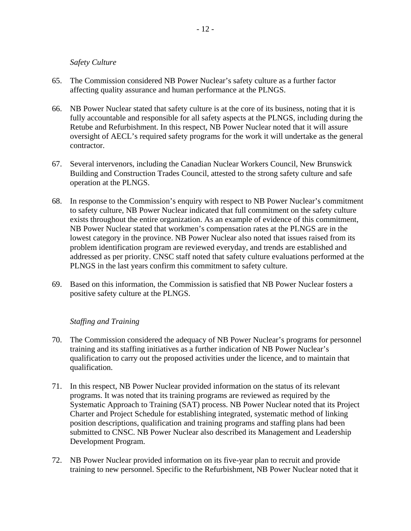#### *Safety Culture*

- 65. The Commission considered NB Power Nuclear's safety culture as a further factor affecting quality assurance and human performance at the PLNGS.
- 66. NB Power Nuclear stated that safety culture is at the core of its business, noting that it is fully accountable and responsible for all safety aspects at the PLNGS, including during the Retube and Refurbishment. In this respect, NB Power Nuclear noted that it will assure oversight of AECL's required safety programs for the work it will undertake as the general contractor.
- 67. Several intervenors, including the Canadian Nuclear Workers Council, New Brunswick Building and Construction Trades Council, attested to the strong safety culture and safe operation at the PLNGS.
- 68. In response to the Commission's enquiry with respect to NB Power Nuclear's commitment to safety culture, NB Power Nuclear indicated that full commitment on the safety culture exists throughout the entire organization. As an example of evidence of this commitment, NB Power Nuclear stated that workmen's compensation rates at the PLNGS are in the lowest category in the province. NB Power Nuclear also noted that issues raised from its problem identification program are reviewed everyday, and trends are established and addressed as per priority. CNSC staff noted that safety culture evaluations performed at the PLNGS in the last years confirm this commitment to safety culture.
- 69. Based on this information, the Commission is satisfied that NB Power Nuclear fosters a positive safety culture at the PLNGS.

#### *Staffing and Training*

- 70. The Commission considered the adequacy of NB Power Nuclear's programs for personnel training and its staffing initiatives as a further indication of NB Power Nuclear's qualification to carry out the proposed activities under the licence, and to maintain that qualification.
- 71. In this respect, NB Power Nuclear provided information on the status of its relevant programs. It was noted that its training programs are reviewed as required by the Systematic Approach to Training (SAT) process. NB Power Nuclear noted that its Project Charter and Project Schedule for establishing integrated, systematic method of linking position descriptions, qualification and training programs and staffing plans had been submitted to CNSC. NB Power Nuclear also described its Management and Leadership Development Program.
- 72. NB Power Nuclear provided information on its five-year plan to recruit and provide training to new personnel. Specific to the Refurbishment, NB Power Nuclear noted that it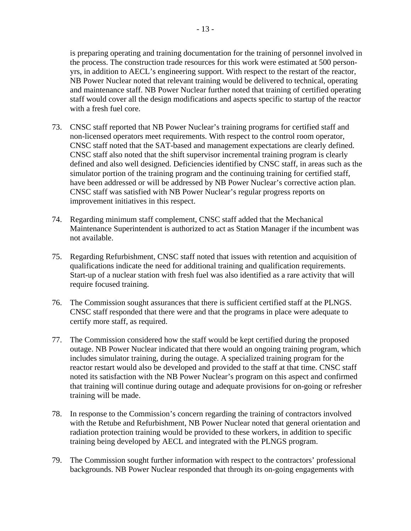is preparing operating and training documentation for the training of personnel involved in the process. The construction trade resources for this work were estimated at 500 personyrs, in addition to AECL's engineering support. With respect to the restart of the reactor, NB Power Nuclear noted that relevant training would be delivered to technical, operating and maintenance staff. NB Power Nuclear further noted that training of certified operating staff would cover all the design modifications and aspects specific to startup of the reactor with a fresh fuel core.

- 73. CNSC staff reported that NB Power Nuclear's training programs for certified staff and non-licensed operators meet requirements. With respect to the control room operator, CNSC staff noted that the SAT-based and management expectations are clearly defined. CNSC staff also noted that the shift supervisor incremental training program is clearly defined and also well designed. Deficiencies identified by CNSC staff, in areas such as the simulator portion of the training program and the continuing training for certified staff, have been addressed or will be addressed by NB Power Nuclear's corrective action plan. CNSC staff was satisfied with NB Power Nuclear's regular progress reports on improvement initiatives in this respect.
- 74. Regarding minimum staff complement, CNSC staff added that the Mechanical Maintenance Superintendent is authorized to act as Station Manager if the incumbent was not available.
- 75. Regarding Refurbishment, CNSC staff noted that issues with retention and acquisition of qualifications indicate the need for additional training and qualification requirements. Start-up of a nuclear station with fresh fuel was also identified as a rare activity that will require focused training.
- 76. The Commission sought assurances that there is sufficient certified staff at the PLNGS. CNSC staff responded that there were and that the programs in place were adequate to certify more staff, as required.
- 77. The Commission considered how the staff would be kept certified during the proposed outage. NB Power Nuclear indicated that there would an ongoing training program, which includes simulator training, during the outage. A specialized training program for the reactor restart would also be developed and provided to the staff at that time. CNSC staff noted its satisfaction with the NB Power Nuclear's program on this aspect and confirmed that training will continue during outage and adequate provisions for on-going or refresher training will be made.
- 78. In response to the Commission's concern regarding the training of contractors involved with the Retube and Refurbishment, NB Power Nuclear noted that general orientation and radiation protection training would be provided to these workers, in addition to specific training being developed by AECL and integrated with the PLNGS program.
- 79. The Commission sought further information with respect to the contractors' professional backgrounds. NB Power Nuclear responded that through its on-going engagements with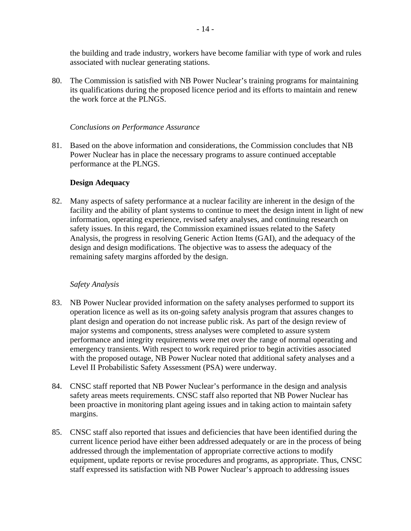the building and trade industry, workers have become familiar with type of work and rules associated with nuclear generating stations.

80. The Commission is satisfied with NB Power Nuclear's training programs for maintaining its qualifications during the proposed licence period and its efforts to maintain and renew the work force at the PLNGS.

### *Conclusions on Performance Assurance*

81. Based on the above information and considerations, the Commission concludes that NB Power Nuclear has in place the necessary programs to assure continued acceptable performance at the PLNGS.

# **Design Adequacy**

82. Many aspects of safety performance at a nuclear facility are inherent in the design of the facility and the ability of plant systems to continue to meet the design intent in light of new information, operating experience, revised safety analyses, and continuing research on safety issues. In this regard, the Commission examined issues related to the Safety Analysis, the progress in resolving Generic Action Items (GAI), and the adequacy of the design and design modifications. The objective was to assess the adequacy of the remaining safety margins afforded by the design.

#### *Safety Analysis*

- 83. NB Power Nuclear provided information on the safety analyses performed to support its operation licence as well as its on-going safety analysis program that assures changes to plant design and operation do not increase public risk. As part of the design review of major systems and components, stress analyses were completed to assure system performance and integrity requirements were met over the range of normal operating and emergency transients. With respect to work required prior to begin activities associated with the proposed outage, NB Power Nuclear noted that additional safety analyses and a Level II Probabilistic Safety Assessment (PSA) were underway.
- 84. CNSC staff reported that NB Power Nuclear's performance in the design and analysis safety areas meets requirements. CNSC staff also reported that NB Power Nuclear has been proactive in monitoring plant ageing issues and in taking action to maintain safety margins.
- 85. CNSC staff also reported that issues and deficiencies that have been identified during the current licence period have either been addressed adequately or are in the process of being addressed through the implementation of appropriate corrective actions to modify equipment, update reports or revise procedures and programs, as appropriate. Thus, CNSC staff expressed its satisfaction with NB Power Nuclear's approach to addressing issues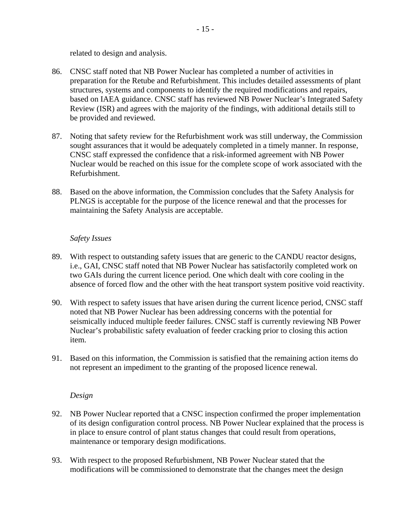related to design and analysis.

- 86. CNSC staff noted that NB Power Nuclear has completed a number of activities in preparation for the Retube and Refurbishment. This includes detailed assessments of plant structures, systems and components to identify the required modifications and repairs, based on IAEA guidance. CNSC staff has reviewed NB Power Nuclear's Integrated Safety Review (ISR) and agrees with the majority of the findings, with additional details still to be provided and reviewed.
- 87. Noting that safety review for the Refurbishment work was still underway, the Commission sought assurances that it would be adequately completed in a timely manner. In response, CNSC staff expressed the confidence that a risk-informed agreement with NB Power Nuclear would be reached on this issue for the complete scope of work associated with the Refurbishment.
- 88. Based on the above information, the Commission concludes that the Safety Analysis for PLNGS is acceptable for the purpose of the licence renewal and that the processes for maintaining the Safety Analysis are acceptable.

#### *Safety Issues*

- 89. With respect to outstanding safety issues that are generic to the CANDU reactor designs, i.e., GAI, CNSC staff noted that NB Power Nuclear has satisfactorily completed work on two GAIs during the current licence period. One which dealt with core cooling in the absence of forced flow and the other with the heat transport system positive void reactivity.
- 90. With respect to safety issues that have arisen during the current licence period, CNSC staff noted that NB Power Nuclear has been addressing concerns with the potential for seismically induced multiple feeder failures. CNSC staff is currently reviewing NB Power Nuclear's probabilistic safety evaluation of feeder cracking prior to closing this action item.
- 91. Based on this information, the Commission is satisfied that the remaining action items do not represent an impediment to the granting of the proposed licence renewal.

#### *Design*

- 92. NB Power Nuclear reported that a CNSC inspection confirmed the proper implementation of its design configuration control process. NB Power Nuclear explained that the process is in place to ensure control of plant status changes that could result from operations, maintenance or temporary design modifications.
- 93. With respect to the proposed Refurbishment, NB Power Nuclear stated that the modifications will be commissioned to demonstrate that the changes meet the design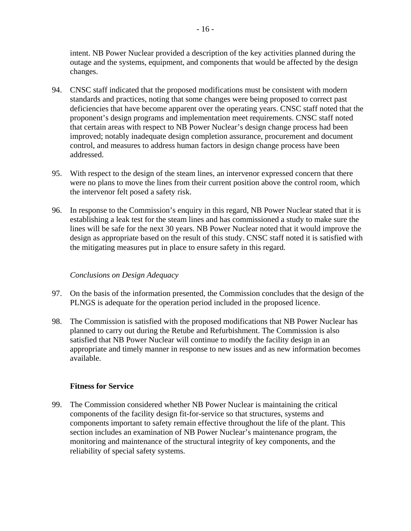intent. NB Power Nuclear provided a description of the key activities planned during the outage and the systems, equipment, and components that would be affected by the design changes.

- 94. CNSC staff indicated that the proposed modifications must be consistent with modern standards and practices, noting that some changes were being proposed to correct past deficiencies that have become apparent over the operating years. CNSC staff noted that the proponent's design programs and implementation meet requirements. CNSC staff noted that certain areas with respect to NB Power Nuclear's design change process had been improved; notably inadequate design completion assurance, procurement and document control, and measures to address human factors in design change process have been addressed.
- 95. With respect to the design of the steam lines, an intervenor expressed concern that there were no plans to move the lines from their current position above the control room, which the intervenor felt posed a safety risk.
- 96. In response to the Commission's enquiry in this regard, NB Power Nuclear stated that it is establishing a leak test for the steam lines and has commissioned a study to make sure the lines will be safe for the next 30 years. NB Power Nuclear noted that it would improve the design as appropriate based on the result of this study. CNSC staff noted it is satisfied with the mitigating measures put in place to ensure safety in this regard.

# *Conclusions on Design Adequacy*

- 97. On the basis of the information presented, the Commission concludes that the design of the PLNGS is adequate for the operation period included in the proposed licence.
- 98. The Commission is satisfied with the proposed modifications that NB Power Nuclear has planned to carry out during the Retube and Refurbishment. The Commission is also satisfied that NB Power Nuclear will continue to modify the facility design in an appropriate and timely manner in response to new issues and as new information becomes available.

# **Fitness for Service**

99. The Commission considered whether NB Power Nuclear is maintaining the critical components of the facility design fit-for-service so that structures, systems and components important to safety remain effective throughout the life of the plant. This section includes an examination of NB Power Nuclear's maintenance program, the monitoring and maintenance of the structural integrity of key components, and the reliability of special safety systems.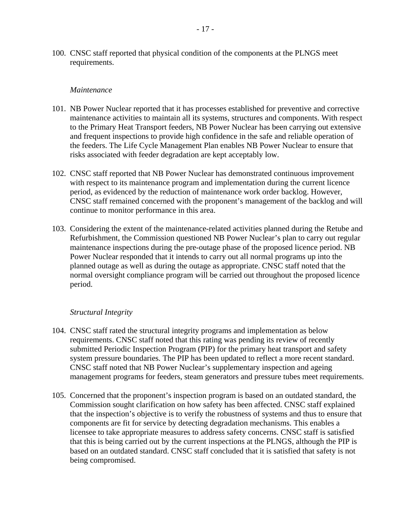100. CNSC staff reported that physical condition of the components at the PLNGS meet requirements.

#### *Maintenance*

- 101. NB Power Nuclear reported that it has processes established for preventive and corrective maintenance activities to maintain all its systems, structures and components. With respect to the Primary Heat Transport feeders, NB Power Nuclear has been carrying out extensive and frequent inspections to provide high confidence in the safe and reliable operation of the feeders. The Life Cycle Management Plan enables NB Power Nuclear to ensure that risks associated with feeder degradation are kept acceptably low.
- 102. CNSC staff reported that NB Power Nuclear has demonstrated continuous improvement with respect to its maintenance program and implementation during the current licence period, as evidenced by the reduction of maintenance work order backlog. However, CNSC staff remained concerned with the proponent's management of the backlog and will continue to monitor performance in this area.
- 103. Considering the extent of the maintenance-related activities planned during the Retube and Refurbishment, the Commission questioned NB Power Nuclear's plan to carry out regular maintenance inspections during the pre-outage phase of the proposed licence period. NB Power Nuclear responded that it intends to carry out all normal programs up into the planned outage as well as during the outage as appropriate. CNSC staff noted that the normal oversight compliance program will be carried out throughout the proposed licence period.

#### *Structural Integrity*

- 104. CNSC staff rated the structural integrity programs and implementation as below requirements. CNSC staff noted that this rating was pending its review of recently submitted Periodic Inspection Program (PIP) for the primary heat transport and safety system pressure boundaries. The PIP has been updated to reflect a more recent standard. CNSC staff noted that NB Power Nuclear's supplementary inspection and ageing management programs for feeders, steam generators and pressure tubes meet requirements.
- 105. Concerned that the proponent's inspection program is based on an outdated standard, the Commission sought clarification on how safety has been affected. CNSC staff explained that the inspection's objective is to verify the robustness of systems and thus to ensure that components are fit for service by detecting degradation mechanisms. This enables a licensee to take appropriate measures to address safety concerns. CNSC staff is satisfied that this is being carried out by the current inspections at the PLNGS, although the PIP is based on an outdated standard. CNSC staff concluded that it is satisfied that safety is not being compromised.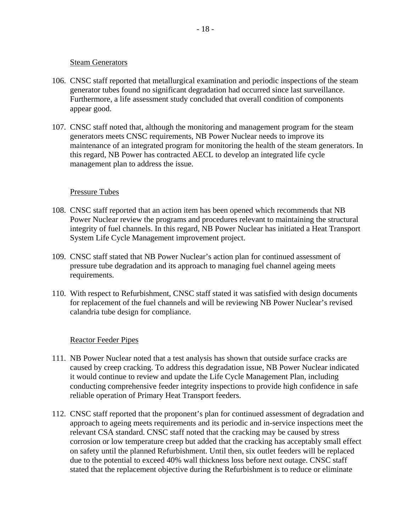#### Steam Generators

- 106. CNSC staff reported that metallurgical examination and periodic inspections of the steam generator tubes found no significant degradation had occurred since last surveillance. Furthermore, a life assessment study concluded that overall condition of components appear good.
- 107. CNSC staff noted that, although the monitoring and management program for the steam generators meets CNSC requirements, NB Power Nuclear needs to improve its maintenance of an integrated program for monitoring the health of the steam generators. In this regard, NB Power has contracted AECL to develop an integrated life cycle management plan to address the issue.

#### Pressure Tubes

- 108. CNSC staff reported that an action item has been opened which recommends that NB Power Nuclear review the programs and procedures relevant to maintaining the structural integrity of fuel channels. In this regard, NB Power Nuclear has initiated a Heat Transport System Life Cycle Management improvement project.
- 109. CNSC staff stated that NB Power Nuclear's action plan for continued assessment of pressure tube degradation and its approach to managing fuel channel ageing meets requirements.
- 110. With respect to Refurbishment, CNSC staff stated it was satisfied with design documents for replacement of the fuel channels and will be reviewing NB Power Nuclear's revised calandria tube design for compliance.

#### Reactor Feeder Pipes

- 111. NB Power Nuclear noted that a test analysis has shown that outside surface cracks are caused by creep cracking. To address this degradation issue, NB Power Nuclear indicated it would continue to review and update the Life Cycle Management Plan, including conducting comprehensive feeder integrity inspections to provide high confidence in safe reliable operation of Primary Heat Transport feeders.
- 112. CNSC staff reported that the proponent's plan for continued assessment of degradation and approach to ageing meets requirements and its periodic and in-service inspections meet the relevant CSA standard. CNSC staff noted that the cracking may be caused by stress corrosion or low temperature creep but added that the cracking has acceptably small effect on safety until the planned Refurbishment. Until then, six outlet feeders will be replaced due to the potential to exceed 40% wall thickness loss before next outage. CNSC staff stated that the replacement objective during the Refurbishment is to reduce or eliminate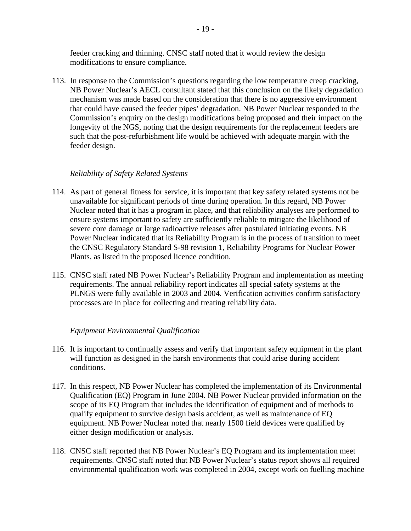feeder cracking and thinning. CNSC staff noted that it would review the design modifications to ensure compliance.

113. In response to the Commission's questions regarding the low temperature creep cracking, NB Power Nuclear's AECL consultant stated that this conclusion on the likely degradation mechanism was made based on the consideration that there is no aggressive environment that could have caused the feeder pipes' degradation. NB Power Nuclear responded to the Commission's enquiry on the design modifications being proposed and their impact on the longevity of the NGS, noting that the design requirements for the replacement feeders are such that the post-refurbishment life would be achieved with adequate margin with the feeder design.

# *Reliability of Safety Related Systems*

- 114. As part of general fitness for service, it is important that key safety related systems not be unavailable for significant periods of time during operation. In this regard, NB Power Nuclear noted that it has a program in place, and that reliability analyses are performed to ensure systems important to safety are sufficiently reliable to mitigate the likelihood of severe core damage or large radioactive releases after postulated initiating events. NB Power Nuclear indicated that its Reliability Program is in the process of transition to meet the CNSC Regulatory Standard S-98 revision 1, Reliability Programs for Nuclear Power Plants, as listed in the proposed licence condition.
- 115. CNSC staff rated NB Power Nuclear's Reliability Program and implementation as meeting requirements. The annual reliability report indicates all special safety systems at the PLNGS were fully available in 2003 and 2004. Verification activities confirm satisfactory processes are in place for collecting and treating reliability data.

#### *Equipment Environmental Qualification*

- 116. It is important to continually assess and verify that important safety equipment in the plant will function as designed in the harsh environments that could arise during accident conditions.
- 117. In this respect, NB Power Nuclear has completed the implementation of its Environmental Qualification (EQ) Program in June 2004. NB Power Nuclear provided information on the scope of its EQ Program that includes the identification of equipment and of methods to qualify equipment to survive design basis accident, as well as maintenance of EQ equipment. NB Power Nuclear noted that nearly 1500 field devices were qualified by either design modification or analysis.
- 118. CNSC staff reported that NB Power Nuclear's EQ Program and its implementation meet requirements. CNSC staff noted that NB Power Nuclear's status report shows all required environmental qualification work was completed in 2004, except work on fuelling machine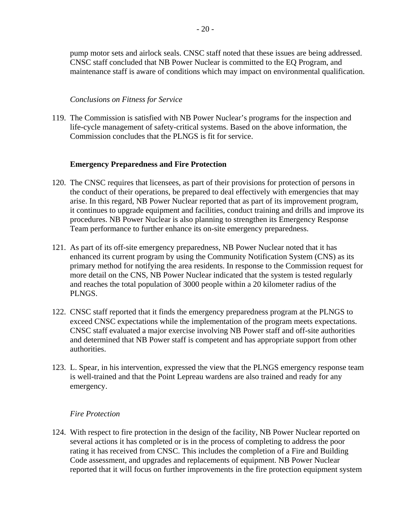pump motor sets and airlock seals. CNSC staff noted that these issues are being addressed. CNSC staff concluded that NB Power Nuclear is committed to the EQ Program, and maintenance staff is aware of conditions which may impact on environmental qualification.

#### *Conclusions on Fitness for Service*

119. The Commission is satisfied with NB Power Nuclear's programs for the inspection and life-cycle management of safety-critical systems. Based on the above information, the Commission concludes that the PLNGS is fit for service.

# **Emergency Preparedness and Fire Protection**

- 120. The CNSC requires that licensees, as part of their provisions for protection of persons in the conduct of their operations, be prepared to deal effectively with emergencies that may arise. In this regard, NB Power Nuclear reported that as part of its improvement program, it continues to upgrade equipment and facilities, conduct training and drills and improve its procedures. NB Power Nuclear is also planning to strengthen its Emergency Response Team performance to further enhance its on-site emergency preparedness.
- 121. As part of its off-site emergency preparedness, NB Power Nuclear noted that it has enhanced its current program by using the Community Notification System (CNS) as its primary method for notifying the area residents. In response to the Commission request for more detail on the CNS, NB Power Nuclear indicated that the system is tested regularly and reaches the total population of 3000 people within a 20 kilometer radius of the PLNGS.
- 122. CNSC staff reported that it finds the emergency preparedness program at the PLNGS to exceed CNSC expectations while the implementation of the program meets expectations. CNSC staff evaluated a major exercise involving NB Power staff and off-site authorities and determined that NB Power staff is competent and has appropriate support from other authorities.
- 123. L. Spear, in his intervention, expressed the view that the PLNGS emergency response team is well-trained and that the Point Lepreau wardens are also trained and ready for any emergency.

#### *Fire Protection*

124. With respect to fire protection in the design of the facility, NB Power Nuclear reported on several actions it has completed or is in the process of completing to address the poor rating it has received from CNSC. This includes the completion of a Fire and Building Code assessment, and upgrades and replacements of equipment. NB Power Nuclear reported that it will focus on further improvements in the fire protection equipment system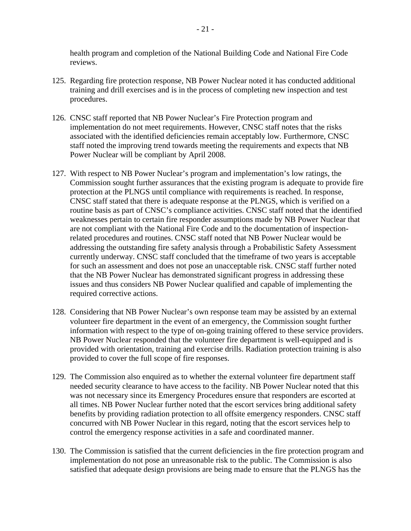health program and completion of the National Building Code and National Fire Code reviews.

- 125. Regarding fire protection response, NB Power Nuclear noted it has conducted additional training and drill exercises and is in the process of completing new inspection and test procedures.
- 126. CNSC staff reported that NB Power Nuclear's Fire Protection program and implementation do not meet requirements. However, CNSC staff notes that the risks associated with the identified deficiencies remain acceptably low. Furthermore, CNSC staff noted the improving trend towards meeting the requirements and expects that NB Power Nuclear will be compliant by April 2008.
- 127. With respect to NB Power Nuclear's program and implementation's low ratings, the Commission sought further assurances that the existing program is adequate to provide fire protection at the PLNGS until compliance with requirements is reached. In response, CNSC staff stated that there is adequate response at the PLNGS, which is verified on a routine basis as part of CNSC's compliance activities. CNSC staff noted that the identified weaknesses pertain to certain fire responder assumptions made by NB Power Nuclear that are not compliant with the National Fire Code and to the documentation of inspectionrelated procedures and routines. CNSC staff noted that NB Power Nuclear would be addressing the outstanding fire safety analysis through a Probabilistic Safety Assessment currently underway. CNSC staff concluded that the timeframe of two years is acceptable for such an assessment and does not pose an unacceptable risk. CNSC staff further noted that the NB Power Nuclear has demonstrated significant progress in addressing these issues and thus considers NB Power Nuclear qualified and capable of implementing the required corrective actions.
- 128. Considering that NB Power Nuclear's own response team may be assisted by an external volunteer fire department in the event of an emergency, the Commission sought further information with respect to the type of on-going training offered to these service providers. NB Power Nuclear responded that the volunteer fire department is well-equipped and is provided with orientation, training and exercise drills. Radiation protection training is also provided to cover the full scope of fire responses.
- 129. The Commission also enquired as to whether the external volunteer fire department staff needed security clearance to have access to the facility. NB Power Nuclear noted that this was not necessary since its Emergency Procedures ensure that responders are escorted at all times. NB Power Nuclear further noted that the escort services bring additional safety benefits by providing radiation protection to all offsite emergency responders. CNSC staff concurred with NB Power Nuclear in this regard, noting that the escort services help to control the emergency response activities in a safe and coordinated manner.
- 130. The Commission is satisfied that the current deficiencies in the fire protection program and implementation do not pose an unreasonable risk to the public. The Commission is also satisfied that adequate design provisions are being made to ensure that the PLNGS has the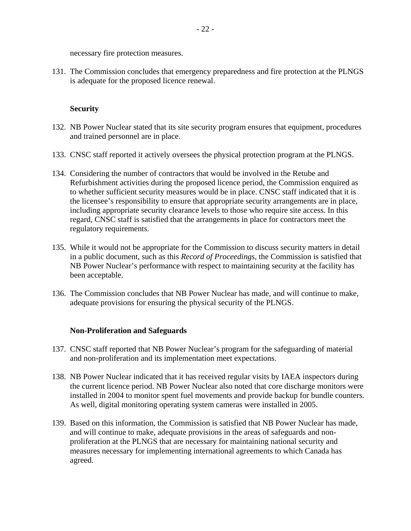necessary fire protection measures.

131. The Commission concludes that emergency preparedness and fire protection at the PLNGS is adequate for the proposed licence renewal.

# **Security**

- 132. NB Power Nuclear stated that its site security program ensures that equipment, procedures and trained personnel are in place.
- 133. CNSC staff reported it actively oversees the physical protection program at the PLNGS.
- 134. Considering the number of contractors that would be involved in the Retube and Refurbishment activities during the proposed licence period, the Commission enquired as to whether sufficient security measures would be in place. CNSC staff indicated that it is the licensee's responsibility to ensure that appropriate security arrangements are in place, including appropriate security clearance levels to those who require site access. In this regard, CNSC staff is satisfied that the arrangements in place for contractors meet the regulatory requirements.
- 135. While it would not be appropriate for the Commission to discuss security matters in detail in a public document, such as this *Record of Proceedings*, the Commission is satisfied that NB Power Nuclear's performance with respect to maintaining security at the facility has been acceptable.
- 136. The Commission concludes that NB Power Nuclear has made, and will continue to make, adequate provisions for ensuring the physical security of the PLNGS.

#### **Non-Proliferation and Safeguards**

- 137. CNSC staff reported that NB Power Nuclear's program for the safeguarding of material and non-proliferation and its implementation meet expectations.
- 138. NB Power Nuclear indicated that it has received regular visits by IAEA inspectors during the current licence period. NB Power Nuclear also noted that core discharge monitors were installed in 2004 to monitor spent fuel movements and provide backup for bundle counters. As well, digital monitoring operating system cameras were installed in 2005.
- 139. Based on this information, the Commission is satisfied that NB Power Nuclear has made, and will continue to make, adequate provisions in the areas of safeguards and nonproliferation at the PLNGS that are necessary for maintaining national security and measures necessary for implementing international agreements to which Canada has agreed.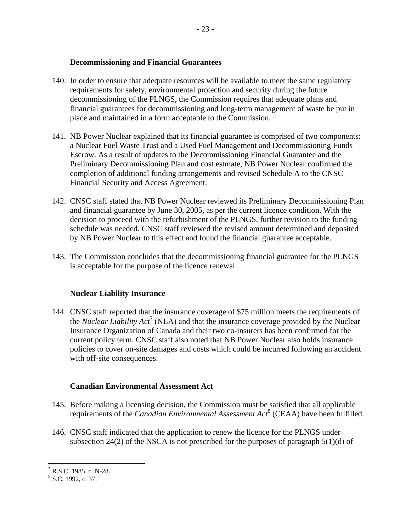- 140. In order to ensure that adequate resources will be available to meet the same regulatory requirements for safety, environmental protection and security during the future decommissioning of the PLNGS, the Commission requires that adequate plans and financial guarantees for decommissioning and long-term management of waste be put in place and maintained in a form acceptable to the Commission.
- 141. NB Power Nuclear explained that its financial guarantee is comprised of two components: a Nuclear Fuel Waste Trust and a Used Fuel Management and Decommissioning Funds Escrow. As a result of updates to the Decommissioning Financial Guarantee and the Preliminary Decommissioning Plan and cost estmate, NB Power Nuclear confirmed the completion of additional funding arrangements and revised Schedule A to the CNSC Financial Security and Access Agreement.
- 142. CNSC staff stated that NB Power Nuclear reviewed its Preliminary Decommissioning Plan and financial guarantee by June 30, 2005, as per the current licence condition. With the decision to proceed with the refurbishment of the PLNGS, further revision to the funding schedule was needed. CNSC staff reviewed the revised amount determined and deposited by NB Power Nuclear to this effect and found the financial guarantee acceptable.
- 143. The Commission concludes that the decommissioning financial guarantee for the PLNGS is acceptable for the purpose of the licence renewal.

# **Nuclear Liability Insurance**

144. CNSC staff reported that the insurance coverage of \$75 million meets the requirements of the *Nuclear Liability Act*<sup>7</sup> (NLA) and that the insurance coverage provided by the Nuclear Insurance Organization of Canada and their two co-insurers has been confirmed for the current policy term. CNSC staff also noted that NB Power Nuclear also holds insurance policies to cover on-site damages and costs which could be incurred following an accident with off-site consequences.

# **Canadian Environmental Assessment Act**

- 145. Before making a licensing decision, the Commission must be satisfied that all applicable requirements of the *Canadian Environmental Assessment Act<sup>8</sup>* (CEAA) have been fulfilled.
- 146. CNSC staff indicated that the application to renew the licence for the PLNGS under subsection 24(2) of the NSCA is not prescribed for the purposes of paragraph  $5(1)(d)$  of

 $T$ R.S.C. 1985, c. N-28.

<sup>&</sup>lt;sup>8</sup> S.C. 1992, c. 37.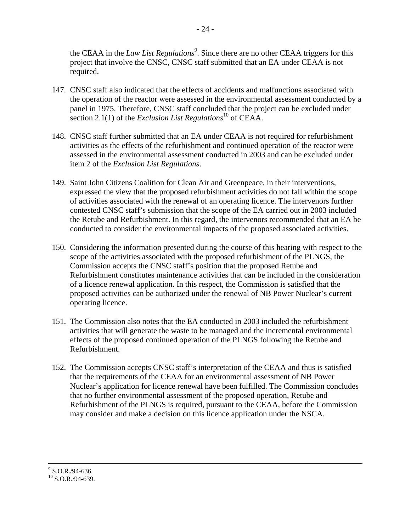the CEAA in the *Law List Regulations*<sup>9</sup>. Since there are no other CEAA triggers for this project that involve the CNSC, CNSC staff submitted that an EA under CEAA is not required.

- 147. CNSC staff also indicated that the effects of accidents and malfunctions associated with the operation of the reactor were assessed in the environmental assessment conducted by a panel in 1975. Therefore, CNSC staff concluded that the project can be excluded under section 2.1(1) of the *Exclusion List Regulations*<sup>10</sup> of CEAA.
- 148. CNSC staff further submitted that an EA under CEAA is not required for refurbishment activities as the effects of the refurbishment and continued operation of the reactor were assessed in the environmental assessment conducted in 2003 and can be excluded under item 2 of the *Exclusion List Regulations*.
- 149. Saint John Citizens Coalition for Clean Air and Greenpeace, in their interventions, expressed the view that the proposed refurbishment activities do not fall within the scope of activities associated with the renewal of an operating licence. The intervenors further contested CNSC staff's submission that the scope of the EA carried out in 2003 included the Retube and Refurbishment. In this regard, the intervenors recommended that an EA be conducted to consider the environmental impacts of the proposed associated activities.
- 150. Considering the information presented during the course of this hearing with respect to the scope of the activities associated with the proposed refurbishment of the PLNGS, the Commission accepts the CNSC staff's position that the proposed Retube and Refurbishment constitutes maintenance activities that can be included in the consideration of a licence renewal application. In this respect, the Commission is satisfied that the proposed activities can be authorized under the renewal of NB Power Nuclear's current operating licence.
- 151. The Commission also notes that the EA conducted in 2003 included the refurbishment activities that will generate the waste to be managed and the incremental environmental effects of the proposed continued operation of the PLNGS following the Retube and Refurbishment.
- 152. The Commission accepts CNSC staff's interpretation of the CEAA and thus is satisfied that the requirements of the CEAA for an environmental assessment of NB Power Nuclear's application for licence renewal have been fulfilled. The Commission concludes that no further environmental assessment of the proposed operation, Retube and Refurbishment of the PLNGS is required, pursuant to the CEAA, before the Commission may consider and make a decision on this licence application under the NSCA.

-<br>9  $9^9$  S.O.R./94-636.

 $^{10}$  S.O.R./94-639.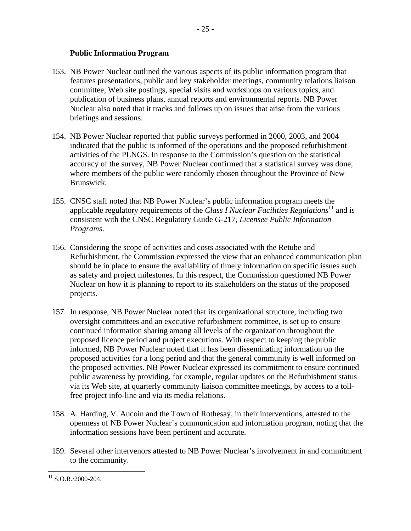### **Public Information Program**

- 153. NB Power Nuclear outlined the various aspects of its public information program that features presentations, public and key stakeholder meetings, community relations liaison committee, Web site postings, special visits and workshops on various topics, and publication of business plans, annual reports and environmental reports. NB Power Nuclear also noted that it tracks and follows up on issues that arise from the various briefings and sessions.
- 154. NB Power Nuclear reported that public surveys performed in 2000, 2003, and 2004 indicated that the public is informed of the operations and the proposed refurbishment activities of the PLNGS. In response to the Commission's question on the statistical accuracy of the survey, NB Power Nuclear confirmed that a statistical survey was done, where members of the public were randomly chosen throughout the Province of New Brunswick.
- 155. CNSC staff noted that NB Power Nuclear's public information program meets the applicable regulatory requirements of the *Class I Nuclear Facilities Regulations*<sup>11</sup> and is consistent with the CNSC Regulatory Guide G-217, *Licensee Public Information Programs*.
- 156. Considering the scope of activities and costs associated with the Retube and Refurbishment, the Commission expressed the view that an enhanced communication plan should be in place to ensure the availability of timely information on specific issues such as safety and project milestones. In this respect, the Commission questioned NB Power Nuclear on how it is planning to report to its stakeholders on the status of the proposed projects.
- 157. In response, NB Power Nuclear noted that its organizational structure, including two oversight committees and an executive refurbishment committee, is set up to ensure continued information sharing among all levels of the organization throughout the proposed licence period and project executions. With respect to keeping the public informed, NB Power Nuclear noted that it has been disseminating information on the proposed activities for a long period and that the general community is well informed on the proposed activities. NB Power Nuclear expressed its commitment to ensure continued public awareness by providing, for example, regular updates on the Refurbishment status via its Web site, at quarterly community liaison committee meetings, by access to a tollfree project info-line and via its media relations.
- 158. A. Harding, V. Aucoin and the Town of Rothesay, in their interventions, attested to the openness of NB Power Nuclear's communication and information program, noting that the information sessions have been pertinent and accurate.
- 159. Several other intervenors attested to NB Power Nuclear's involvement in and commitment to the community.

<sup>&</sup>lt;u>.</u>  $11$  S.O.R./2000-204.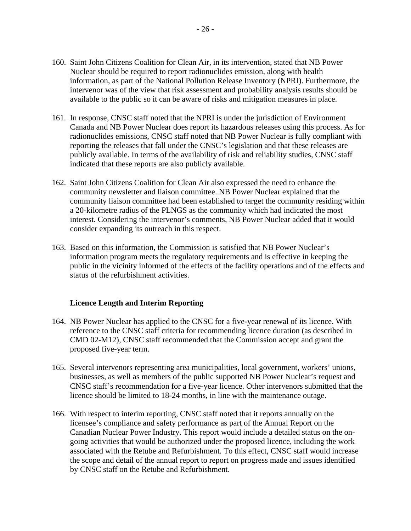- 160. Saint John Citizens Coalition for Clean Air, in its intervention, stated that NB Power Nuclear should be required to report radionuclides emission, along with health information, as part of the National Pollution Release Inventory (NPRI). Furthermore, the intervenor was of the view that risk assessment and probability analysis results should be available to the public so it can be aware of risks and mitigation measures in place.
- 161. In response, CNSC staff noted that the NPRI is under the jurisdiction of Environment Canada and NB Power Nuclear does report its hazardous releases using this process. As for radionuclides emissions, CNSC staff noted that NB Power Nuclear is fully compliant with reporting the releases that fall under the CNSC's legislation and that these releases are publicly available. In terms of the availability of risk and reliability studies, CNSC staff indicated that these reports are also publicly available.
- 162. Saint John Citizens Coalition for Clean Air also expressed the need to enhance the community newsletter and liaison committee. NB Power Nuclear explained that the community liaison committee had been established to target the community residing within a 20-kilometre radius of the PLNGS as the community which had indicated the most interest. Considering the intervenor's comments, NB Power Nuclear added that it would consider expanding its outreach in this respect.
- 163. Based on this information, the Commission is satisfied that NB Power Nuclear's information program meets the regulatory requirements and is effective in keeping the public in the vicinity informed of the effects of the facility operations and of the effects and status of the refurbishment activities.

#### **Licence Length and Interim Reporting**

- 164. NB Power Nuclear has applied to the CNSC for a five-year renewal of its licence. With reference to the CNSC staff criteria for recommending licence duration (as described in CMD 02-M12), CNSC staff recommended that the Commission accept and grant the proposed five-year term.
- 165. Several intervenors representing area municipalities, local government, workers' unions, businesses, as well as members of the public supported NB Power Nuclear's request and CNSC staff's recommendation for a five-year licence. Other intervenors submitted that the licence should be limited to 18-24 months, in line with the maintenance outage.
- 166. With respect to interim reporting, CNSC staff noted that it reports annually on the licensee's compliance and safety performance as part of the Annual Report on the Canadian Nuclear Power Industry. This report would include a detailed status on the ongoing activities that would be authorized under the proposed licence, including the work associated with the Retube and Refurbishment. To this effect, CNSC staff would increase the scope and detail of the annual report to report on progress made and issues identified by CNSC staff on the Retube and Refurbishment.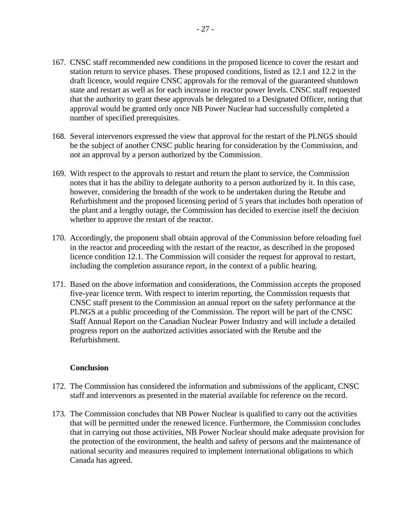- 167. CNSC staff recommended new conditions in the proposed licence to cover the restart and station return to service phases. These proposed conditions, listed as 12.1 and 12.2 in the draft licence, would require CNSC approvals for the removal of the guaranteed shutdown state and restart as well as for each increase in reactor power levels. CNSC staff requested that the authority to grant these approvals be delegated to a Designated Officer, noting that approval would be granted only once NB Power Nuclear had successfully completed a number of specified prerequisites.
- 168. Several intervenors expressed the view that approval for the restart of the PLNGS should be the subject of another CNSC public hearing for consideration by the Commission, and not an approval by a person authorized by the Commission.
- 169. With respect to the approvals to restart and return the plant to service, the Commission notes that it has the ability to delegate authority to a person authorized by it. In this case, however, considering the breadth of the work to be undertaken during the Retube and Refurbishment and the proposed licensing period of 5 years that includes both operation of the plant and a lengthy outage, the Commission has decided to exercise itself the decision whether to approve the restart of the reactor.
- 170. Accordingly, the proponent shall obtain approval of the Commission before reloading fuel in the reactor and proceeding with the restart of the reactor, as described in the proposed licence condition 12.1. The Commission will consider the request for approval to restart, including the completion assurance report, in the context of a public hearing.
- 171. Based on the above information and considerations, the Commission accepts the proposed five-year licence term. With respect to interim reporting, the Commission requests that CNSC staff present to the Commission an annual report on the safety performance at the PLNGS at a public proceeding of the Commission. The report will be part of the CNSC Staff Annual Report on the Canadian Nuclear Power Industry and will include a detailed progress report on the authorized activities associated with the Retube and the Refurbishment.

#### **Conclusion**

- 172. The Commission has considered the information and submissions of the applicant, CNSC staff and intervenors as presented in the material available for reference on the record.
- 173. The Commission concludes that NB Power Nuclear is qualified to carry out the activities that will be permitted under the renewed licence. Furthermore, the Commission concludes that in carrying out those activities, NB Power Nuclear should make adequate provision for the protection of the environment, the health and safety of persons and the maintenance of national security and measures required to implement international obligations to which Canada has agreed.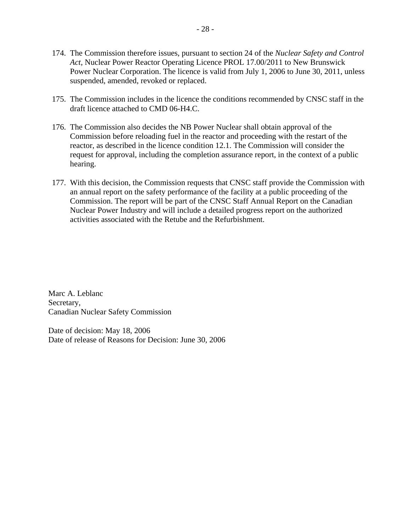- 174. The Commission therefore issues, pursuant to section 24 of the *Nuclear Safety and Control Act*, Nuclear Power Reactor Operating Licence PROL 17.00/2011 to New Brunswick Power Nuclear Corporation. The licence is valid from July 1, 2006 to June 30, 2011, unless suspended, amended, revoked or replaced.
- 175. The Commission includes in the licence the conditions recommended by CNSC staff in the draft licence attached to CMD 06-H4.C.
- 176. The Commission also decides the NB Power Nuclear shall obtain approval of the Commission before reloading fuel in the reactor and proceeding with the restart of the reactor, as described in the licence condition 12.1. The Commission will consider the request for approval, including the completion assurance report, in the context of a public hearing.
- 177. With this decision, the Commission requests that CNSC staff provide the Commission with an annual report on the safety performance of the facility at a public proceeding of the Commission. The report will be part of the CNSC Staff Annual Report on the Canadian Nuclear Power Industry and will include a detailed progress report on the authorized activities associated with the Retube and the Refurbishment.

Marc A. Leblanc Secretary, Canadian Nuclear Safety Commission

Date of decision: May 18, 2006 Date of release of Reasons for Decision: June 30, 2006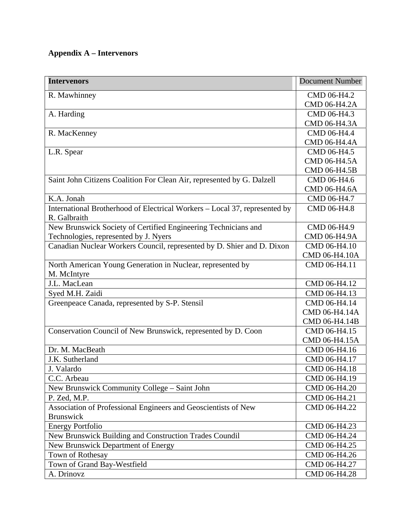# **Appendix A – Intervenors**

| <b>Intervenors</b>                                                                         | <b>Document Number</b> |
|--------------------------------------------------------------------------------------------|------------------------|
| R. Mawhinney                                                                               | CMD 06-H4.2            |
|                                                                                            | CMD 06-H4.2A           |
| A. Harding                                                                                 | CMD 06-H4.3            |
|                                                                                            | CMD 06-H4.3A           |
| R. MacKenney                                                                               | CMD 06-H4.4            |
|                                                                                            | CMD 06-H4.4A           |
| L.R. Spear                                                                                 | CMD 06-H4.5            |
|                                                                                            | CMD 06-H4.5A           |
|                                                                                            | CMD 06-H4.5B           |
| Saint John Citizens Coalition For Clean Air, represented by G. Dalzell                     | CMD 06-H4.6            |
|                                                                                            | CMD 06-H4.6A           |
| $\overline{K}$ .A. Jonah                                                                   | CMD 06-H4.7            |
| International Brotherhood of Electrical Workers – Local 37, represented by<br>R. Galbraith | CMD 06-H4.8            |
| New Brunswick Society of Certified Engineering Technicians and                             | CMD 06-H4.9            |
| Technologies, represented by J. Nyers                                                      | CMD 06-H4.9A           |
| Canadian Nuclear Workers Council, represented by D. Shier and D. Dixon                     | CMD 06-H4.10           |
|                                                                                            | CMD 06-H4.10A          |
| North American Young Generation in Nuclear, represented by<br>M. McIntyre                  | CMD 06-H4.11           |
| J.L. MacLean                                                                               | CMD 06-H4.12           |
| Syed M.H. Zaidi                                                                            | CMD 06-H4.13           |
| Greenpeace Canada, represented by S-P. Stensil                                             | CMD 06-H4.14           |
|                                                                                            | CMD 06-H4.14A          |
|                                                                                            | CMD 06-H4.14B          |
| Conservation Council of New Brunswick, represented by D. Coon                              | CMD 06-H4.15           |
|                                                                                            | CMD 06-H4.15A          |
| Dr. M. MacBeath                                                                            | CMD 06-H4.16           |
| J.K. Sutherland                                                                            | CMD 06-H4.17           |
| J. Valardo                                                                                 | CMD 06-H4.18           |
| C.C. Arbeau                                                                                | CMD 06-H4.19           |
| New Brunswick Community College – Saint John                                               | CMD 06-H4.20           |
| P. Zed, M.P.                                                                               | CMD 06-H4.21           |
| Association of Professional Engineers and Geoscientists of New                             | CMD 06-H4.22           |
| <b>Brunswick</b>                                                                           |                        |
| <b>Energy Portfolio</b>                                                                    | CMD 06-H4.23           |
| New Brunswick Building and Construction Trades Coundil                                     | CMD 06-H4.24           |
| New Brunswick Department of Energy                                                         | CMD 06-H4.25           |
| Town of Rothesay                                                                           | CMD 06-H4.26           |
| Town of Grand Bay-Westfield                                                                | CMD 06-H4.27           |
| A. Drinovz                                                                                 | CMD 06-H4.28           |